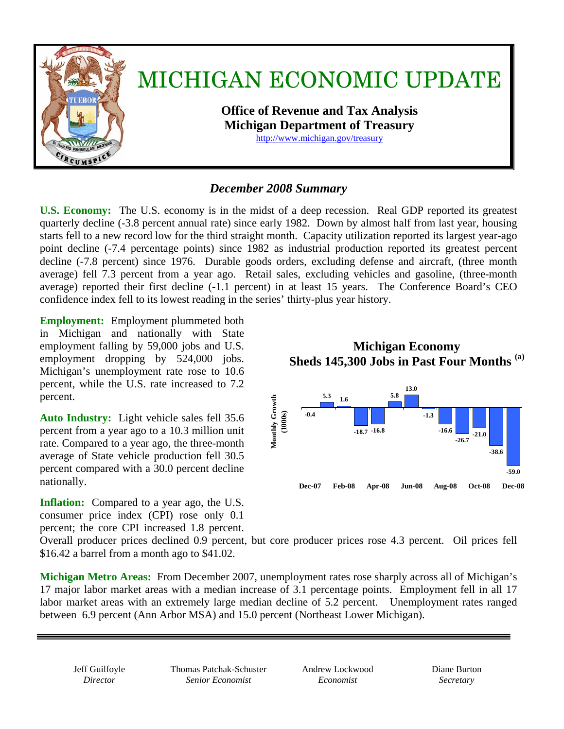

### *December 2008 Summary*

**U.S. Economy:** The U.S. economy is in the midst of a deep recession. Real GDP reported its greatest quarterly decline (-3.8 percent annual rate) since early 1982. Down by almost half from last year, housing starts fell to a new record low for the third straight month.Capacity utilization reported its largest year-ago point decline (-7.4 percentage points) since 1982 as industrial production reported its greatest percent decline (-7.8 percent) since 1976. Durable goods orders, excluding defense and aircraft, (three month average) fell 7.3 percent from a year ago. Retail sales, excluding vehicles and gasoline, (three-month average) reported their first decline (-1.1 percent) in at least 15 years.The Conference Board's CEO confidence index fell to its lowest reading in the series' thirty-plus year history.

**Employment:** Employment plummeted both in Michigan and nationally with State employment falling by 59,000 jobs and U.S. employment dropping by 524,000 jobs. Michigan's unemployment rate rose to 10.6 percent, while the U.S. rate increased to 7.2 percent.

**Auto Industry:** Light vehicle sales fell 35.6 percent from a year ago to a 10.3 million unit rate. Compared to a year ago, the three-month average of State vehicle production fell 30.5 percent compared with a 30.0 percent decline nationally.

**Inflation:** Compared to a year ago, the U.S. consumer price index (CPI) rose only 0.1 percent; the core CPI increased 1.8 percent.





Overall producer prices declined 0.9 percent, but core producer prices rose 4.3 percent. Oil prices fell \$16.42 a barrel from a month ago to \$41.02.

**Michigan Metro Areas:** From December 2007, unemployment rates rose sharply across all of Michigan's 17 major labor market areas with a median increase of 3.1 percentage points. Employment fell in all 17 labor market areas with an extremely large median decline of 5.2 percent. Unemployment rates ranged between 6.9 percent (Ann Arbor MSA) and 15.0 percent (Northeast Lower Michigan).

Jeff Guilfoyle *Director* 

Thomas Patchak-Schuster *Senior Economist* 

Andrew Lockwood *Economist* 

Diane Burton *Secretary*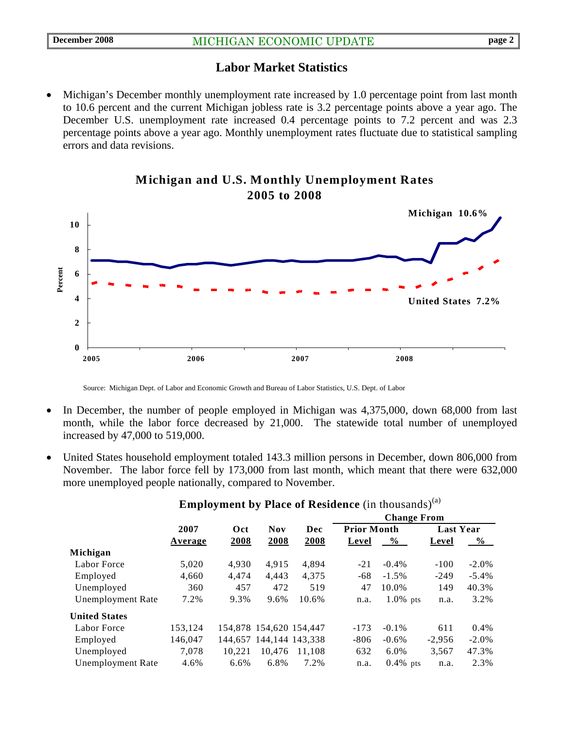**0**

#### **Labor Market Statistics**

• Michigan's December monthly unemployment rate increased by 1.0 percentage point from last month to 10.6 percent and the current Michigan jobless rate is 3.2 percentage points above a year ago. The December U.S. unemployment rate increased 0.4 percentage points to 7.2 percent and was 2.3 percentage points above a year ago. Monthly unemployment rates fluctuate due to statistical sampling errors and data revisions.



#### **Michigan and U.S. Monthly Unemployment Rates 2005 to 2008**

Source: Michigan Dept. of Labor and Economic Growth and Bureau of Labor Statistics, U.S. Dept. of Labor

**2005 2006 2007 2008**

- In December, the number of people employed in Michigan was 4,375,000, down 68,000 from last month, while the labor force decreased by 21,000. The statewide total number of unemployed increased by 47,000 to 519,000.
- United States household employment totaled 143.3 million persons in December, down 806,000 from November. The labor force fell by 173,000 from last month, which meant that there were 632,000 more unemployed people nationally, compared to November.

|                          |         | <b>Oct</b> | <b>Nov</b>              | Dec    | <b>Change From</b> |                    |          |                  |
|--------------------------|---------|------------|-------------------------|--------|--------------------|--------------------|----------|------------------|
|                          | 2007    |            |                         |        |                    | <b>Prior Month</b> |          | <b>Last Year</b> |
|                          | Average | 2008       | 2008                    | 2008   | Level              | $\frac{6}{9}$      | Level    | $\frac{0}{0}$    |
| Michigan                 |         |            |                         |        |                    |                    |          |                  |
| Labor Force              | 5,020   | 4,930      | 4,915                   | 4,894  | $-21$              | $-0.4\%$           | $-100$   | $-2.0\%$         |
| Employed                 | 4,660   | 4,474      | 4,443                   | 4,375  | -68                | $-1.5\%$           | $-249$   | $-5.4\%$         |
| Unemployed               | 360     | 457        | 472                     | 519    | 47                 | 10.0%              | 149      | 40.3%            |
| <b>Unemployment Rate</b> | 7.2%    | 9.3%       | 9.6%                    | 10.6%  | n.a.               | $1.0\%$ pts        | n.a.     | 3.2%             |
| <b>United States</b>     |         |            |                         |        |                    |                    |          |                  |
| Labor Force              | 153,124 |            | 154,878 154,620 154,447 |        | $-173$             | $-0.1\%$           | 611      | 0.4%             |
| Employed                 | 146,047 |            | 144,657 144,144 143,338 |        | $-806$             | $-0.6%$            | $-2.956$ | $-2.0\%$         |
| Unemployed               | 7.078   | 10.221     | 10.476                  | 11.108 | 632                | 6.0%               | 3,567    | 47.3%            |
| <b>Unemployment Rate</b> | 4.6%    | 6.6%       | 6.8%                    | 7.2%   | n.a.               | $0.4\%$ pts        | n.a.     | 2.3%             |
|                          |         |            |                         |        |                    |                    |          |                  |

**Employment by Place of Residence** (in thousands)<sup>(a)</sup>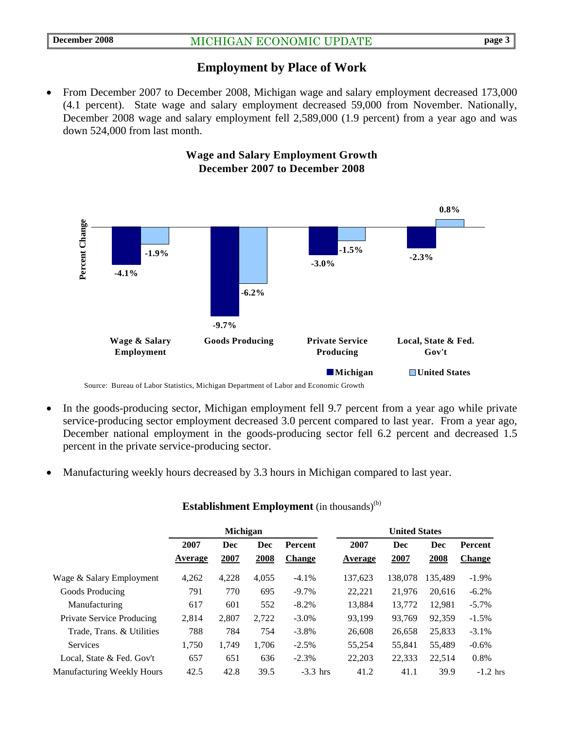#### **Employment by Place of Work**

• From December 2007 to December 2008, Michigan wage and salary employment decreased 173,000 (4.1 percent).State wage and salary employment decreased 59,000 from November. Nationally, December 2008 wage and salary employment fell 2,589,000 (1.9 percent) from a year ago and was down 524,000 from last month.



#### **Wage and Salary Employment Growth December 2007 to December 2008**

- In the goods-producing sector, Michigan employment fell 9.7 percent from a year ago while private service-producing sector employment decreased 3.0 percent compared to last year. From a year ago, December national employment in the goods-producing sector fell 6.2 percent and decreased 1.5 percent in the private service-producing sector.
- Manufacturing weekly hours decreased by 3.3 hours in Michigan compared to last year.

|                                  | <b>Michigan</b> |             |             |                                 | <b>United States</b> |             |             |                          |
|----------------------------------|-----------------|-------------|-------------|---------------------------------|----------------------|-------------|-------------|--------------------------|
|                                  | 2007<br>Average | Dec<br>2007 | Dec<br>2008 | <b>Percent</b><br><b>Change</b> | 2007<br>Average      | Dec<br>2007 | Dec<br>2008 | Percent<br><b>Change</b> |
| Wage & Salary Employment         | 4,262           | 4,228       | 4,055       | $-4.1%$                         | 137.623              | 138,078     | 135.489     | $-1.9\%$                 |
| Goods Producing                  | 791             | 770         | 695         | $-9.7\%$                        | 22.221               | 21.976      | 20.616      | $-6.2\%$                 |
| Manufacturing                    | 617             | 601         | 552         | $-8.2%$                         | 13.884               | 13,772      | 12,981      | $-5.7\%$                 |
| <b>Private Service Producing</b> | 2.814           | 2.807       | 2.722       | $-3.0\%$                        | 93.199               | 93.769      | 92,359      | $-1.5\%$                 |
| Trade, Trans. & Utilities        | 788             | 784         | 754         | $-3.8\%$                        | 26,608               | 26,658      | 25,833      | $-3.1\%$                 |
| <b>Services</b>                  | 1,750           | 1,749       | 1,706       | $-2.5%$                         | 55,254               | 55,841      | 55,489      | $-0.6%$                  |
| Local, State & Fed. Gov't        | 657             | 651         | 636         | $-2.3%$                         | 22,203               | 22,333      | 22,514      | 0.8%                     |
| Manufacturing Weekly Hours       | 42.5            | 42.8        | 39.5        | $-3.3$ hrs                      | 41.2                 | 41.1        | 39.9        | $-1.2$ hrs               |

#### **Establishment Employment** (in thousands)<sup>(b)</sup>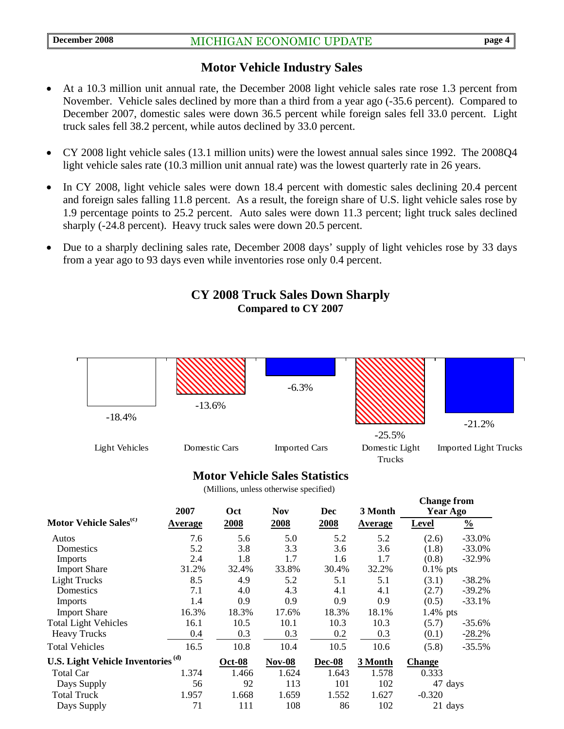#### **Motor Vehicle Industry Sales**

- At a 10.3 million unit annual rate, the December 2008 light vehicle sales rate rose 1.3 percent from November. Vehicle sales declined by more than a third from a year ago (-35.6 percent). Compared to December 2007, domestic sales were down 36.5 percent while foreign sales fell 33.0 percent. Light truck sales fell 38.2 percent, while autos declined by 33.0 percent.
- CY 2008 light vehicle sales (13.1 million units) were the lowest annual sales since 1992. The 2008Q4 light vehicle sales rate (10.3 million unit annual rate) was the lowest quarterly rate in 26 years.
- In CY 2008, light vehicle sales were down 18.4 percent with domestic sales declining 20.4 percent and foreign sales falling 11.8 percent. As a result, the foreign share of U.S. light vehicle sales rose by 1.9 percentage points to 25.2 percent. Auto sales were down 11.3 percent; light truck sales declined sharply (-24.8 percent). Heavy truck sales were down 20.5 percent.
- Due to a sharply declining sales rate, December 2008 days' supply of light vehicles rose by 33 days from a year ago to 93 days even while inventories rose only 0.4 percent.





#### **Motor Vehicle Sales Statistics**

(Millions, unless otherwise specified)

|                                               | 2007    | Oct           | <b>Nov</b>    | <b>Dec</b> | 3 Month | <b>Change from</b><br>Year Ago |               |
|-----------------------------------------------|---------|---------------|---------------|------------|---------|--------------------------------|---------------|
| Motor Vehicle Sales <sup>(c)</sup>            | Average | 2008          | 2008          | 2008       | Average | <b>Level</b>                   | $\frac{0}{0}$ |
| Autos                                         | 7.6     | 5.6           | 5.0           | 5.2        | 5.2     | (2.6)                          | $-33.0%$      |
| Domestics                                     | 5.2     | 3.8           | 3.3           | 3.6        | 3.6     | (1.8)                          | $-33.0%$      |
| Imports                                       | 2.4     | 1.8           | 1.7           | 1.6        | 1.7     | (0.8)                          | $-32.9%$      |
| <b>Import Share</b>                           | 31.2%   | 32.4%         | 33.8%         | 30.4%      | 32.2%   | $0.1\%$ pts                    |               |
| <b>Light Trucks</b>                           | 8.5     | 4.9           | 5.2           | 5.1        | 5.1     | (3.1)                          | $-38.2%$      |
| Domestics                                     | 7.1     | 4.0           | 4.3           | 4.1        | 4.1     | (2.7)                          | $-39.2%$      |
| <b>Imports</b>                                | 1.4     | 0.9           | 0.9           | 0.9        | 0.9     | (0.5)                          | $-33.1%$      |
| <b>Import Share</b>                           | 16.3%   | 18.3%         | 17.6%         | 18.3%      | 18.1%   | $1.4\%$ pts                    |               |
| <b>Total Light Vehicles</b>                   | 16.1    | 10.5          | 10.1          | 10.3       | 10.3    | (5.7)                          | $-35.6%$      |
| <b>Heavy Trucks</b>                           | 0.4     | 0.3           | 0.3           | 0.2        | 0.3     | (0.1)                          | $-28.2%$      |
| <b>Total Vehicles</b>                         | 16.5    | 10.8          | 10.4          | 10.5       | 10.6    | (5.8)                          | $-35.5%$      |
| U.S. Light Vehicle Inventories <sup>(d)</sup> |         | <b>Oct-08</b> | <b>Nov-08</b> | Dec-08     | 3 Month | <b>Change</b>                  |               |
| Total Car                                     | 1.374   | 1.466         | 1.624         | 1.643      | 1.578   | 0.333                          |               |
| Days Supply                                   | 56      | 92            | 113           | 101        | 102     | 47 days                        |               |
| <b>Total Truck</b>                            | 1.957   | 1.668         | 1.659         | 1.552      | 1.627   | $-0.320$                       |               |
| Days Supply                                   | 71      | 111           | 108           | 86         | 102     | 21 days                        |               |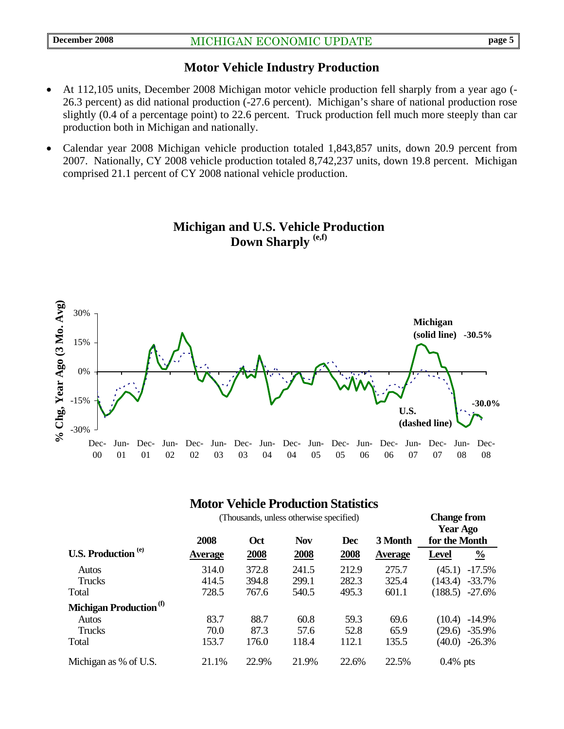#### **Motor Vehicle Industry Production**

- At 112,105 units, December 2008 Michigan motor vehicle production fell sharply from a year ago (- 26.3 percent) as did national production (-27.6 percent). Michigan's share of national production rose slightly (0.4 of a percentage point) to 22.6 percent. Truck production fell much more steeply than car production both in Michigan and nationally.
- Calendar year 2008 Michigan vehicle production totaled 1,843,857 units, down 20.9 percent from 2007. Nationally, CY 2008 vehicle production totaled 8,742,237 units, down 19.8 percent. Michigan comprised 21.1 percent of CY 2008 national vehicle production.



## **Michigan and U.S. Vehicle Production Down Sharply (e,f)**

|                                    | (Thousands, unless otherwise specified) |       |            |            |                |               | <b>Change from</b><br><b>Year Ago</b> |  |  |
|------------------------------------|-----------------------------------------|-------|------------|------------|----------------|---------------|---------------------------------------|--|--|
|                                    | 2008                                    | Oct   | <b>Nov</b> | <b>Dec</b> | 3 Month        | for the Month |                                       |  |  |
| <b>U.S. Production</b> (e)         | <b>Average</b>                          | 2008  | 2008       | 2008       | <b>Average</b> | <b>Level</b>  | $\frac{0}{0}$                         |  |  |
| <b>Autos</b>                       | 314.0                                   | 372.8 | 241.5      | 212.9      | 275.7          | (45.1)        | $-17.5%$                              |  |  |
| Trucks                             | 414.5                                   | 394.8 | 299.1      | 282.3      | 325.4          | (143.4)       | $-33.7%$                              |  |  |
| Total                              | 728.5                                   | 767.6 | 540.5      | 495.3      | 601.1          | (188.5)       | $-27.6%$                              |  |  |
| Michigan Production <sup>(f)</sup> |                                         |       |            |            |                |               |                                       |  |  |
| Autos                              | 83.7                                    | 88.7  | 60.8       | 59.3       | 69.6           | (10.4)        | $-14.9\%$                             |  |  |
| Trucks                             | 70.0                                    | 87.3  | 57.6       | 52.8       | 65.9           | (29.6)        | $-35.9%$                              |  |  |
| Total                              | 153.7                                   | 176.0 | 118.4      | 112.1      | 135.5          | (40.0)        | $-26.3%$                              |  |  |
| Michigan as % of U.S.              | 21.1%                                   | 22.9% | 21.9%      | 22.6%      | 22.5%          | $0.4\%$ pts   |                                       |  |  |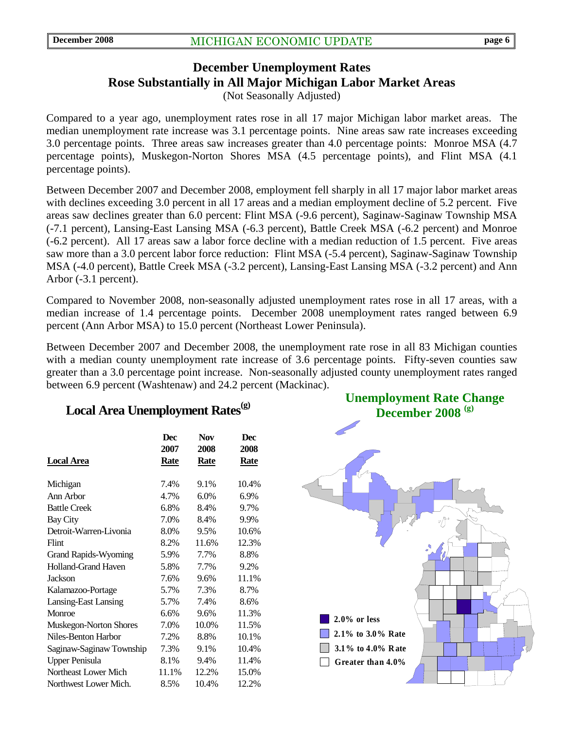# **December Unemployment Rates Rose Substantially in All Major Michigan Labor Market Areas**

(Not Seasonally Adjusted)

Compared to a year ago, unemployment rates rose in all 17 major Michigan labor market areas. The median unemployment rate increase was 3.1 percentage points. Nine areas saw rate increases exceeding 3.0 percentage points. Three areas saw increases greater than 4.0 percentage points: Monroe MSA (4.7 percentage points), Muskegon-Norton Shores MSA (4.5 percentage points), and Flint MSA (4.1 percentage points).

Between December 2007 and December 2008, employment fell sharply in all 17 major labor market areas with declines exceeding 3.0 percent in all 17 areas and a median employment decline of 5.2 percent. Five areas saw declines greater than 6.0 percent: Flint MSA (-9.6 percent), Saginaw-Saginaw Township MSA (-7.1 percent), Lansing-East Lansing MSA (-6.3 percent), Battle Creek MSA (-6.2 percent) and Monroe (-6.2 percent). All 17 areas saw a labor force decline with a median reduction of 1.5 percent. Five areas saw more than a 3.0 percent labor force reduction: Flint MSA (-5.4 percent), Saginaw-Saginaw Township MSA (-4.0 percent), Battle Creek MSA (-3.2 percent), Lansing-East Lansing MSA (-3.2 percent) and Ann Arbor (-3.1 percent).

Compared to November 2008, non-seasonally adjusted unemployment rates rose in all 17 areas, with a median increase of 1.4 percentage points. December 2008 unemployment rates ranged between 6.9 percent (Ann Arbor MSA) to 15.0 percent (Northeast Lower Peninsula).

Between December 2007 and December 2008, the unemployment rate rose in all 83 Michigan counties with a median county unemployment rate increase of 3.6 percentage points. Fifty-seven counties saw greater than a 3.0 percentage point increase. Non-seasonally adjusted county unemployment rates ranged between 6.9 percent (Washtenaw) and 24.2 percent (Mackinac).

# Local Area Unemployment Rates<sup>(g)</sup>

| <b>Local Area</b>           | <b>Dec</b><br>2007<br><b>Rate</b> | <b>Nov</b><br>2008<br>Rate | <b>Dec</b><br>2008<br><b>Rate</b> |
|-----------------------------|-----------------------------------|----------------------------|-----------------------------------|
| Michigan                    | 7.4%                              | 9.1%                       | 10.4%                             |
| Ann Arbor                   | 4.7%                              | 6.0%                       | 6.9%                              |
| <b>Battle Creek</b>         | 6.8%                              | 8.4%                       | 9.7%                              |
| <b>Bay City</b>             | 7.0%                              | 8.4%                       | 9.9%                              |
| Detroit-Warren-Livonia      | 8.0%                              | 9.5%                       | 10.6%                             |
| Flint                       | 8.2%                              | 11.6%                      | 12.3%                             |
| <b>Grand Rapids-Wyoming</b> | 5.9%                              | 7.7%                       | 8.8%                              |
| <b>Holland-Grand Haven</b>  | 5.8%                              | 7.7%                       | 9.2%                              |
| Jackson                     | 7.6%                              | 9.6%                       | 11.1%                             |
| Kalamazoo-Portage           | 5.7%                              | 7.3%                       | 8.7%                              |
| Lansing-East Lansing        | 5.7%                              | 7.4%                       | 8.6%                              |
| Monroe                      | 6.6%                              | 9.6%                       | 11.3%                             |
| Muskegon-Norton Shores      | 7.0%                              | 10.0%                      | 11.5%                             |
| Niles-Benton Harbor         | 7.2%                              | 8.8%                       | 10.1%                             |
| Saginaw-Saginaw Township    | 7.3%                              | 9.1%                       | 10.4%                             |
| <b>Upper Penisula</b>       | 8.1%                              | 9.4%                       | 11.4%                             |
| Northeast Lower Mich        | 11.1%                             | 12.2%                      | 15.0%                             |
| Northwest Lower Mich.       | 8.5%                              | 10.4%                      | 12.2%                             |



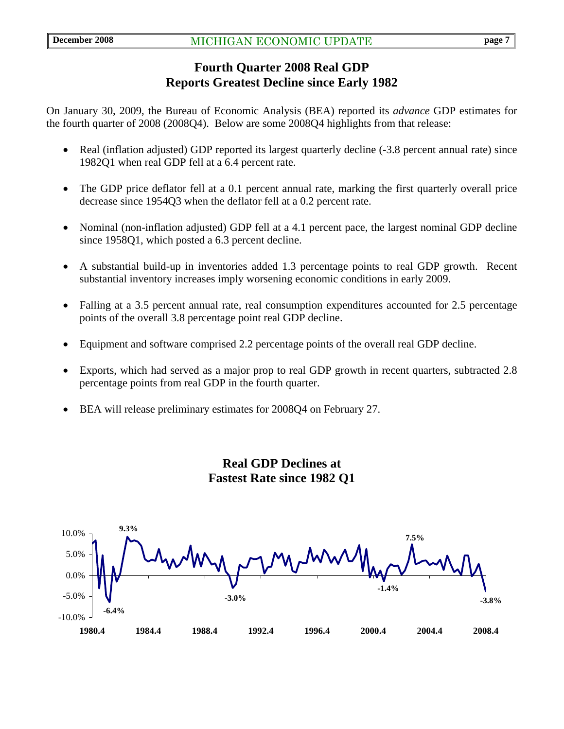## **Fourth Quarter 2008 Real GDP Reports Greatest Decline since Early 1982**

On January 30, 2009, the Bureau of Economic Analysis (BEA) reported its *advance* GDP estimates for the fourth quarter of 2008 (2008Q4). Below are some 2008Q4 highlights from that release:

- Real (inflation adjusted) GDP reported its largest quarterly decline (-3.8 percent annual rate) since 1982Q1 when real GDP fell at a 6.4 percent rate.
- The GDP price deflator fell at a 0.1 percent annual rate, marking the first quarterly overall price decrease since 1954Q3 when the deflator fell at a 0.2 percent rate.
- Nominal (non-inflation adjusted) GDP fell at a 4.1 percent pace, the largest nominal GDP decline since 1958Q1, which posted a 6.3 percent decline.
- A substantial build-up in inventories added 1.3 percentage points to real GDP growth. Recent substantial inventory increases imply worsening economic conditions in early 2009.
- Falling at a 3.5 percent annual rate, real consumption expenditures accounted for 2.5 percentage points of the overall 3.8 percentage point real GDP decline.
- Equipment and software comprised 2.2 percentage points of the overall real GDP decline.
- Exports, which had served as a major prop to real GDP growth in recent quarters, subtracted 2.8 percentage points from real GDP in the fourth quarter.
- BEA will release preliminary estimates for 2008Q4 on February 27.

## **Real GDP Declines at Fastest Rate since 1982 Q1**

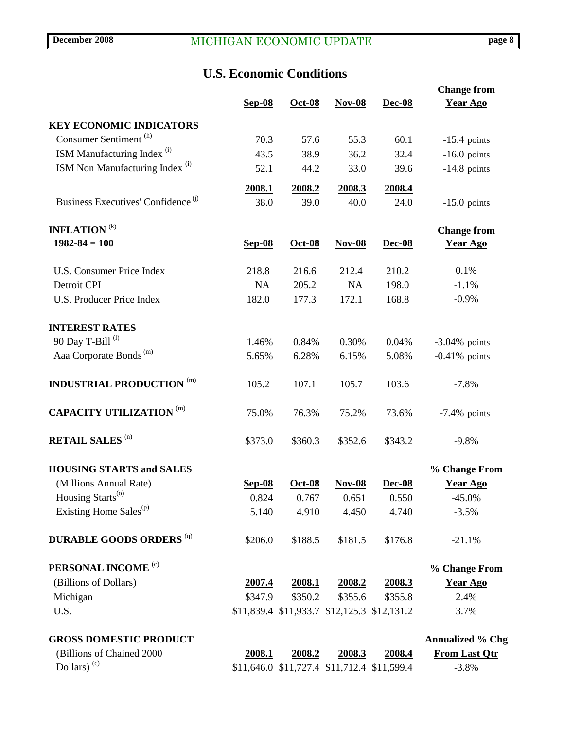# **U.S. Economic Conditions**

|                                                |               |               |               |                                             | <b>Change from</b>      |
|------------------------------------------------|---------------|---------------|---------------|---------------------------------------------|-------------------------|
|                                                | <b>Sep-08</b> | <b>Oct-08</b> | $Nov-08$      | <b>Dec-08</b>                               | <b>Year Ago</b>         |
| <b>KEY ECONOMIC INDICATORS</b>                 |               |               |               |                                             |                         |
| Consumer Sentiment <sup>(h)</sup>              | 70.3          | 57.6          | 55.3          | 60.1                                        | $-15.4$ points          |
| ISM Manufacturing Index <sup>(i)</sup>         | 43.5          | 38.9          | 36.2          | 32.4                                        | $-16.0$ points          |
| ISM Non Manufacturing Index <sup>(i)</sup>     | 52.1          | 44.2          | 33.0          | 39.6                                        | $-14.8$ points          |
|                                                |               |               |               |                                             |                         |
| Business Executives' Confidence <sup>(j)</sup> | 2008.1        | 2008.2        | 2008.3        | 2008.4                                      |                         |
|                                                | 38.0          | 39.0          | 40.0          | 24.0                                        | $-15.0$ points          |
| <b>INFLATION</b> <sup>(k)</sup>                |               |               |               |                                             | <b>Change from</b>      |
| $1982 - 84 = 100$                              | <b>Sep-08</b> | Oct-08        | $Nov-08$      | Dec-08                                      | <b>Year Ago</b>         |
|                                                |               |               |               |                                             |                         |
| <b>U.S. Consumer Price Index</b>               | 218.8         | 216.6         | 212.4         | 210.2                                       | 0.1%                    |
| Detroit CPI                                    | <b>NA</b>     | 205.2         | <b>NA</b>     | 198.0                                       | $-1.1%$                 |
| <b>U.S. Producer Price Index</b>               | 182.0         | 177.3         | 172.1         | 168.8                                       | $-0.9%$                 |
| <b>INTEREST RATES</b>                          |               |               |               |                                             |                         |
| 90 Day T-Bill <sup>(l)</sup>                   | 1.46%         | 0.84%         | 0.30%         | 0.04%                                       | $-3.04\%$ points        |
| Aaa Corporate Bonds <sup>(m)</sup>             | 5.65%         | 6.28%         | 6.15%         | 5.08%                                       | $-0.41\%$ points        |
|                                                |               |               |               |                                             |                         |
| <b>INDUSTRIAL PRODUCTION (m)</b>               | 105.2         | 107.1         | 105.7         | 103.6                                       | $-7.8%$                 |
| <b>CAPACITY UTILIZATION (m)</b>                | 75.0%         | 76.3%         | 75.2%         | 73.6%                                       | $-7.4\%$ points         |
| <b>RETAIL SALES (n)</b>                        | \$373.0       | \$360.3       | \$352.6       | \$343.2                                     | $-9.8%$                 |
| <b>HOUSING STARTS and SALES</b>                |               |               |               |                                             | % Change From           |
| (Millions Annual Rate)                         | $Sep-08$      | Oct-08        | $Nov-08$      | <b>Dec-08</b>                               | <b>Year Ago</b>         |
| Housing Starts <sup>(o)</sup>                  | 0.824         | 0.767         | 0.651         | 0.550                                       | $-45.0\%$               |
| Existing Home Sales <sup>(p)</sup>             | 5.140         | 4.910         | 4.450         | 4.740                                       | $-3.5%$                 |
| <b>DURABLE GOODS ORDERS (q)</b>                | \$206.0       | \$188.5       | \$181.5       | \$176.8                                     | $-21.1%$                |
| PERSONAL INCOME <sup>(c)</sup>                 |               |               |               |                                             | % Change From           |
| (Billions of Dollars)                          | 2007.4        | 2008.1        | <u>2008.2</u> | 2008.3                                      | <b>Year Ago</b>         |
| Michigan                                       | \$347.9       | \$350.2       | \$355.6       | \$355.8                                     | 2.4%                    |
| U.S.                                           |               |               |               | \$11,839.4 \$11,933.7 \$12,125.3 \$12,131.2 | 3.7%                    |
| <b>GROSS DOMESTIC PRODUCT</b>                  |               |               |               |                                             | <b>Annualized % Chg</b> |
| (Billions of Chained 2000                      | 2008.1        | 2008.2        | 2008.3        | 2008.4                                      | <b>From Last Qtr</b>    |
| Dollars) $(c)$                                 |               |               |               | \$11,646.0 \$11,727.4 \$11,712.4 \$11,599.4 | $-3.8%$                 |